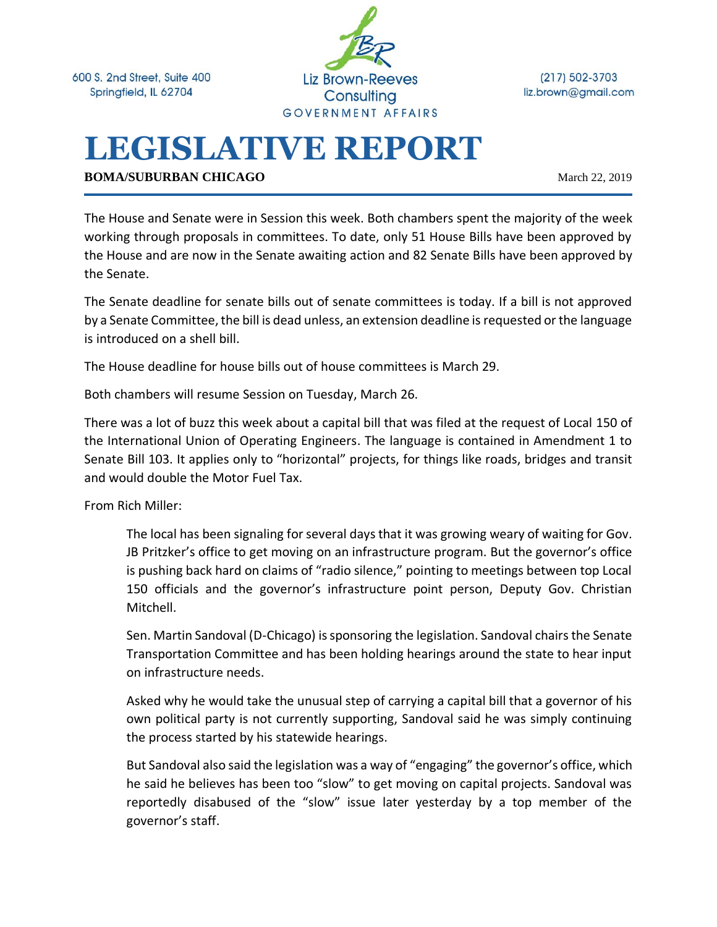600 S. 2nd Street, Suite 400 Springfield, IL 62704



 $(217) 502 - 3703$ liz.brown@gmail.com

# **LEGISLATIVE REPORT**

**BOMA/SUBURBAN CHICAGO** March 22, 2019

The House and Senate were in Session this week. Both chambers spent the majority of the week working through proposals in committees. To date, only 51 House Bills have been approved by the House and are now in the Senate awaiting action and 82 Senate Bills have been approved by the Senate.

The Senate deadline for senate bills out of senate committees is today. If a bill is not approved by a Senate Committee, the bill is dead unless, an extension deadline is requested or the language is introduced on a shell bill.

The House deadline for house bills out of house committees is March 29.

Both chambers will resume Session on Tuesday, March 26.

There was a lot of buzz this week about a capital bill that was filed at the request of Local 150 of the International Union of Operating Engineers. The language is contained in Amendment 1 to Senate Bill 103. It applies only to "horizontal" projects, for things like roads, bridges and transit and would double the Motor Fuel Tax.

From Rich Miller:

The local has been signaling for several days that it was growing weary of waiting for Gov. JB Pritzker's office to get moving on an infrastructure program. But the governor's office is pushing back hard on claims of "radio silence," pointing to meetings between top Local 150 officials and the governor's infrastructure point person, Deputy Gov. Christian Mitchell.

Sen. Martin Sandoval (D-Chicago) is sponsoring the legislation. Sandoval chairs the Senate Transportation Committee and has been holding hearings around the state to hear input on infrastructure needs.

Asked why he would take the unusual step of carrying a capital bill that a governor of his own political party is not currently supporting, Sandoval said he was simply continuing the process started by his statewide hearings.

But Sandoval also said the legislation was a way of "engaging" the governor's office, which he said he believes has been too "slow" to get moving on capital projects. Sandoval was reportedly disabused of the "slow" issue later yesterday by a top member of the governor's staff.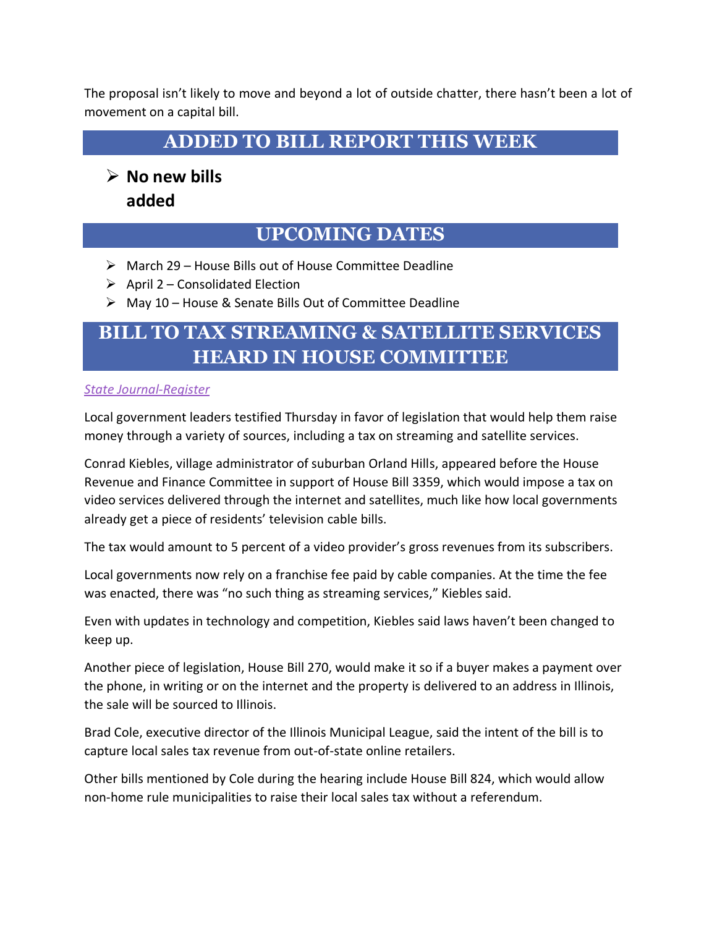The proposal isn't likely to move and beyond a lot of outside chatter, there hasn't been a lot of movement on a capital bill.

**ADDED TO BILL REPORT THIS WEEK**

➢ **No new bills added**

#### **UPCOMING DATES**

- ➢ March 29 House Bills out of House Committee Deadline
- $\triangleright$  April 2 Consolidated Election
- ➢ May 10 House & Senate Bills Out of Committee Deadline

## **BILL TO TAX STREAMING & SATELLITE SERVICES HEARD IN HOUSE COMMITTEE**

#### *[State Journal-Register](https://www.sj-r.com/news/20190322/local-government-leaders-push-for-taxes-on-streaming-and-satellite-services)*

Local government leaders testified Thursday in favor of legislation that would help them raise money through a variety of sources, including a tax on streaming and satellite services.

Conrad Kiebles, village administrator of suburban Orland Hills, appeared before the House Revenue and Finance Committee in support of House Bill 3359, which would impose a tax on video services delivered through the internet and satellites, much like how local governments already get a piece of residents' television cable bills.

The tax would amount to 5 percent of a video provider's gross revenues from its subscribers.

Local governments now rely on a franchise fee paid by cable companies. At the time the fee was enacted, there was "no such thing as streaming services," Kiebles said.

Even with updates in technology and competition, Kiebles said laws haven't been changed to keep up.

Another piece of legislation, House Bill 270, would make it so if a buyer makes a payment over the phone, in writing or on the internet and the property is delivered to an address in Illinois, the sale will be sourced to Illinois.

Brad Cole, executive director of the Illinois Municipal League, said the intent of the bill is to capture local sales tax revenue from out-of-state online retailers.

Other bills mentioned by Cole during the hearing include House Bill 824, which would allow non-home rule municipalities to raise their local sales tax without a referendum.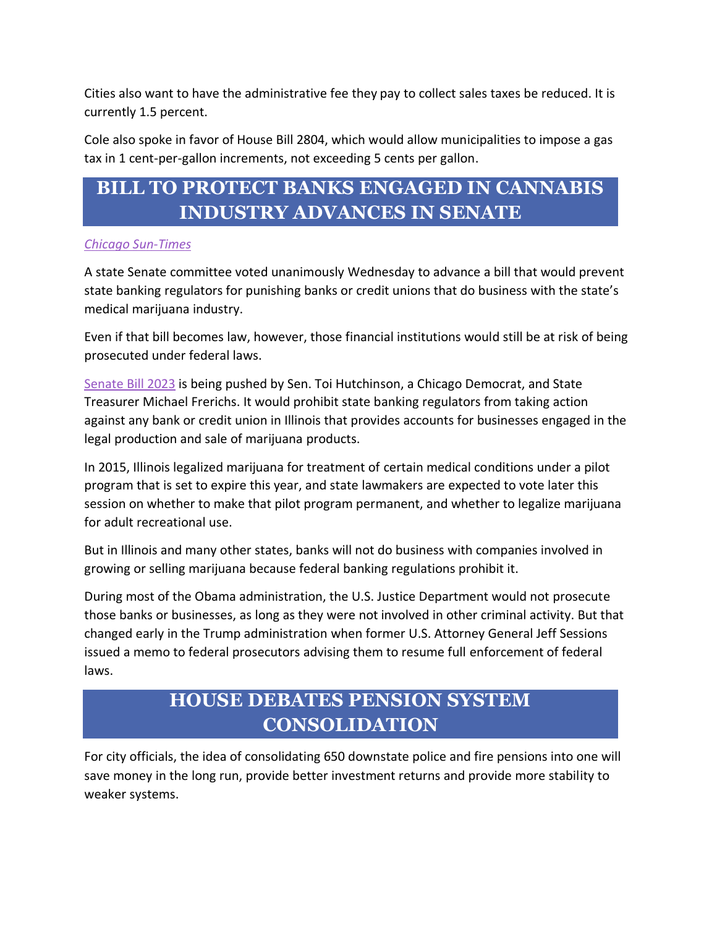Cities also want to have the administrative fee they pay to collect sales taxes be reduced. It is currently 1.5 percent.

Cole also spoke in favor of House Bill 2804, which would allow municipalities to impose a gas tax in 1 cent-per-gallon increments, not exceeding 5 cents per gallon.

## **BILL TO PROTECT BANKS ENGAGED IN CANNABIS INDUSTRY ADVANCES IN SENATE**

#### *[Chicago Sun-Times](https://chicago.suntimes.com/business/marijuana-industry-cannabis-proposal-would-protect-banks-state-regulation-federal-rules-still-appl/)*

A state Senate committee voted unanimously Wednesday to advance a bill that would prevent state banking regulators for punishing banks or credit unions that do business with the state's medical marijuana industry.

Even if that bill becomes law, however, those financial institutions would still be at risk of being prosecuted under federal laws.

[Senate Bill 2023](http://www.ilga.gov/legislation/billstatus.asp?DocNum=2023&GAID=15&GA=101&DocTypeID=SB&LegID=119957&SessionID=108) is being pushed by Sen. Toi Hutchinson, a Chicago Democrat, and State Treasurer Michael Frerichs. It would prohibit state banking regulators from taking action against any bank or credit union in Illinois that provides accounts for businesses engaged in the legal production and sale of marijuana products.

In 2015, Illinois legalized marijuana for treatment of certain medical conditions under a pilot program that is set to expire this year, and state lawmakers are expected to vote later this session on whether to make that pilot program permanent, and whether to legalize marijuana for adult recreational use.

But in Illinois and many other states, banks will not do business with companies involved in growing or selling marijuana because federal banking regulations prohibit it.

During most of the Obama administration, the U.S. Justice Department would not prosecute those banks or businesses, as long as they were not involved in other criminal activity. But that changed early in the Trump administration when former U.S. Attorney General Jeff Sessions issued a memo to federal prosecutors advising them to resume full enforcement of federal laws.

## **HOUSE DEBATES PENSION SYSTEM CONSOLIDATION**

For city officials, the idea of consolidating 650 downstate police and fire pensions into one will save money in the long run, provide better investment returns and provide more stability to weaker systems.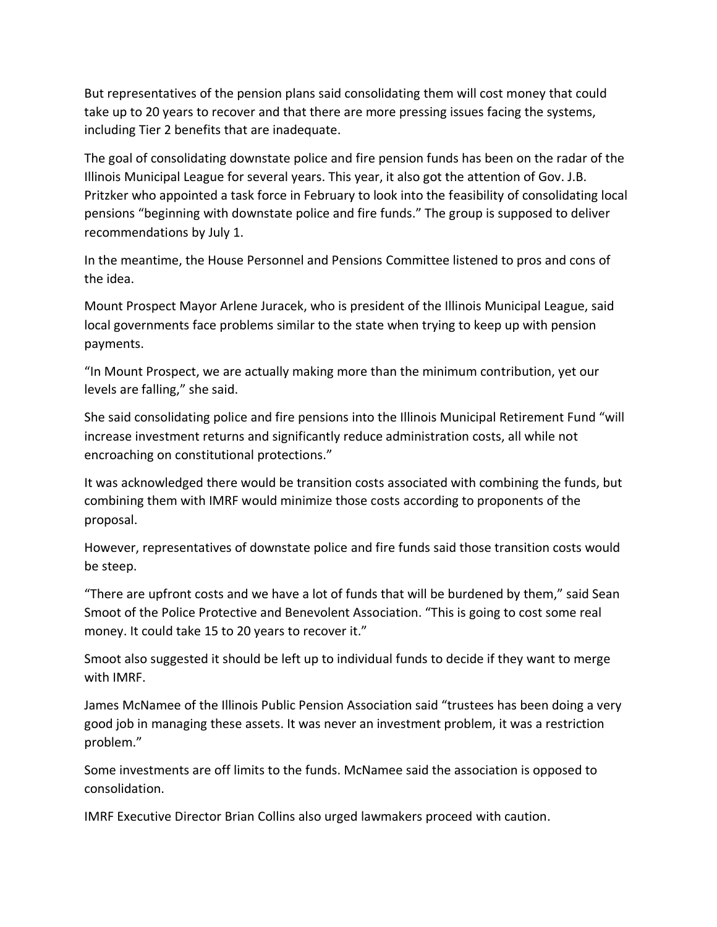But representatives of the pension plans said consolidating them will cost money that could take up to 20 years to recover and that there are more pressing issues facing the systems, including Tier 2 benefits that are inadequate.

The goal of consolidating downstate police and fire pension funds has been on the radar of the Illinois Municipal League for several years. This year, it also got the attention of Gov. J.B. Pritzker who appointed a task force in February to look into the feasibility of consolidating local pensions "beginning with downstate police and fire funds." The group is supposed to deliver recommendations by July 1.

In the meantime, the House Personnel and Pensions Committee listened to pros and cons of the idea.

Mount Prospect Mayor Arlene Juracek, who is president of the Illinois Municipal League, said local governments face problems similar to the state when trying to keep up with pension payments.

"In Mount Prospect, we are actually making more than the minimum contribution, yet our levels are falling," she said.

She said consolidating police and fire pensions into the Illinois Municipal Retirement Fund "will increase investment returns and significantly reduce administration costs, all while not encroaching on constitutional protections."

It was acknowledged there would be transition costs associated with combining the funds, but combining them with IMRF would minimize those costs according to proponents of the proposal.

However, representatives of downstate police and fire funds said those transition costs would be steep.

"There are upfront costs and we have a lot of funds that will be burdened by them," said Sean Smoot of the Police Protective and Benevolent Association. "This is going to cost some real money. It could take 15 to 20 years to recover it."

Smoot also suggested it should be left up to individual funds to decide if they want to merge with IMRF.

James McNamee of the Illinois Public Pension Association said "trustees has been doing a very good job in managing these assets. It was never an investment problem, it was a restriction problem."

Some investments are off limits to the funds. McNamee said the association is opposed to consolidation.

IMRF Executive Director Brian Collins also urged lawmakers proceed with caution.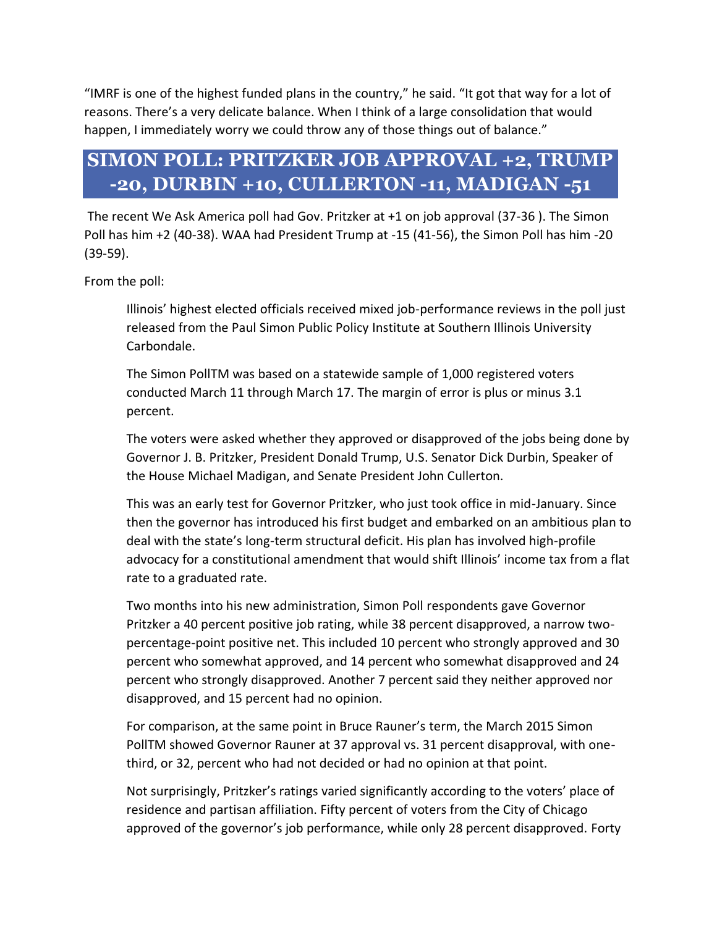"IMRF is one of the highest funded plans in the country," he said. "It got that way for a lot of reasons. There's a very delicate balance. When I think of a large consolidation that would happen, I immediately worry we could throw any of those things out of balance."

## **SIMON POLL: PRITZKER JOB APPROVAL +2, TRUMP -20, DURBIN +10, CULLERTON -11, MADIGAN -51**

[The recent We Ask America poll](https://capitolfax.com/2019/03/06/no-trump-is-not-more-popular-than-pritzker-but-the-governor-has-work-to-do/) had Gov. Pritzker at +1 on job approval (37-36 ). The Simon Poll has him +2 (40-38). WAA had President Trump at -15 (41-56), the Simon Poll has him -20 (39-59).

From the poll:

Illinois' highest elected officials received mixed job-performance reviews in the poll just released from the Paul Simon Public Policy Institute at Southern Illinois University Carbondale.

The Simon PollTM was based on a statewide sample of 1,000 registered voters conducted March 11 through March 17. The margin of error is plus or minus 3.1 percent.

The voters were asked whether they approved or disapproved of the jobs being done by Governor J. B. Pritzker, President Donald Trump, U.S. Senator Dick Durbin, Speaker of the House Michael Madigan, and Senate President John Cullerton.

This was an early test for Governor Pritzker, who just took office in mid-January. Since then the governor has introduced his first budget and embarked on an ambitious plan to deal with the state's long-term structural deficit. His plan has involved high-profile advocacy for a constitutional amendment that would shift Illinois' income tax from a flat rate to a graduated rate.

Two months into his new administration, Simon Poll respondents gave Governor Pritzker a 40 percent positive job rating, while 38 percent disapproved, a narrow twopercentage-point positive net. This included 10 percent who strongly approved and 30 percent who somewhat approved, and 14 percent who somewhat disapproved and 24 percent who strongly disapproved. Another 7 percent said they neither approved nor disapproved, and 15 percent had no opinion.

For comparison, at the same point in Bruce Rauner's term, the March 2015 Simon PollTM showed Governor Rauner at 37 approval vs. 31 percent disapproval, with onethird, or 32, percent who had not decided or had no opinion at that point.

Not surprisingly, Pritzker's ratings varied significantly according to the voters' place of residence and partisan affiliation. Fifty percent of voters from the City of Chicago approved of the governor's job performance, while only 28 percent disapproved. Forty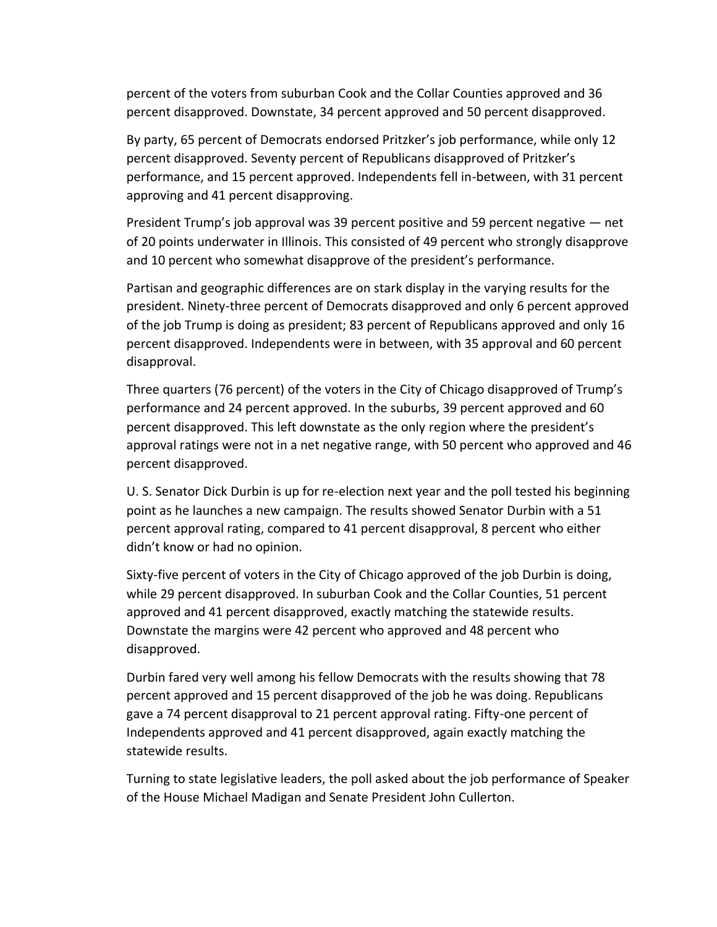percent of the voters from suburban Cook and the Collar Counties approved and 36 percent disapproved. Downstate, 34 percent approved and 50 percent disapproved.

By party, 65 percent of Democrats endorsed Pritzker's job performance, while only 12 percent disapproved. Seventy percent of Republicans disapproved of Pritzker's performance, and 15 percent approved. Independents fell in-between, with 31 percent approving and 41 percent disapproving.

President Trump's job approval was 39 percent positive and 59 percent negative — net of 20 points underwater in Illinois. This consisted of 49 percent who strongly disapprove and 10 percent who somewhat disapprove of the president's performance.

Partisan and geographic differences are on stark display in the varying results for the president. Ninety-three percent of Democrats disapproved and only 6 percent approved of the job Trump is doing as president; 83 percent of Republicans approved and only 16 percent disapproved. Independents were in between, with 35 approval and 60 percent disapproval.

Three quarters (76 percent) of the voters in the City of Chicago disapproved of Trump's performance and 24 percent approved. In the suburbs, 39 percent approved and 60 percent disapproved. This left downstate as the only region where the president's approval ratings were not in a net negative range, with 50 percent who approved and 46 percent disapproved.

U. S. Senator Dick Durbin is up for re-election next year and the poll tested his beginning point as he launches a new campaign. The results showed Senator Durbin with a 51 percent approval rating, compared to 41 percent disapproval, 8 percent who either didn't know or had no opinion.

Sixty-five percent of voters in the City of Chicago approved of the job Durbin is doing, while 29 percent disapproved. In suburban Cook and the Collar Counties, 51 percent approved and 41 percent disapproved, exactly matching the statewide results. Downstate the margins were 42 percent who approved and 48 percent who disapproved.

Durbin fared very well among his fellow Democrats with the results showing that 78 percent approved and 15 percent disapproved of the job he was doing. Republicans gave a 74 percent disapproval to 21 percent approval rating. Fifty-one percent of Independents approved and 41 percent disapproved, again exactly matching the statewide results.

Turning to state legislative leaders, the poll asked about the job performance of Speaker of the House Michael Madigan and Senate President John Cullerton.